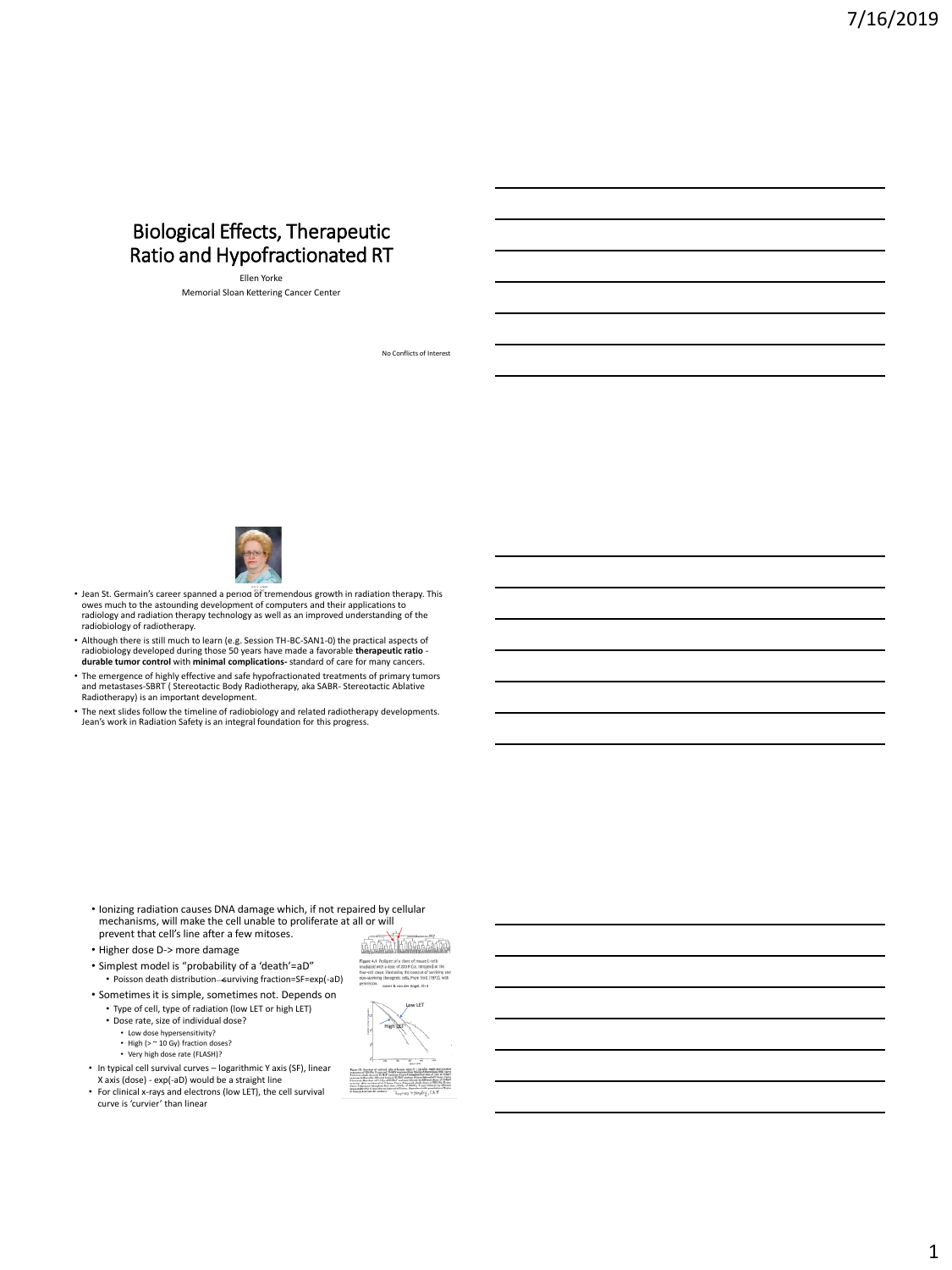# Biological Effects, Therapeutic Ratio and Hypofractionated RT

Ellen Yorke Memorial Sloan Kettering Cancer Center



- Jean St. Germain's career spanned a period of tremendous growth in radiation therapy. This oves much to the astounding development of computers and their applications to radiology and radiation therapy technology as well as an improved understanding of the radiobiology of radiotherapy.
- Although there is still much to learn (e.g. Session TH-BC-SAN1-0) the practical aspects of radiobiology developed during those 50 years have made a favorable **therapeutic ratio** - **durable tumor control** with **minimal complications-** standard of care for many cancers.
- The emergence of highly effective and safe hypofractionated treatments of primary tumors and metastases-SBRT ( Stereotactic Body Radiotherapy, aka SABR- Stereotactic Ablative Radiotherapy) is an important development.
- The next slides follow the timeline of radiobiology and related radiotherapy developments. Jean's work in Radiation Safety is an integral foundation for this progress.

- Ionizing radiation causes DNA damage which, if not repaired by cellular mechanisms, will make the cell unable to proliferate at all or will prevent that cell's line after a few mitoses.
- Higher dose D-> more damage
- Simplest model is "probability of a 'death'=aD"
- Poisson death distribution-surviving fraction=SF=exp(-aD) • Sometimes it is simple, sometimes not. Depends on
	- Type of cell, type of radiation (low LET or high LET)
	- Dose rate, size of individual dose?
		- Low dose hypersensitivity?
		-
		- High (> ~ 10 Gy) fraction doses? Very high dose rate (FLASH)?
- In typical cell survival curves logarithmic Y axis (SF), linear X axis (dose) - exp(-aD) would be a straight line
- For clinical x-rays and electrons (low LET), the cell survival curve is 'curvier' than linear



No Conflicts of Interest

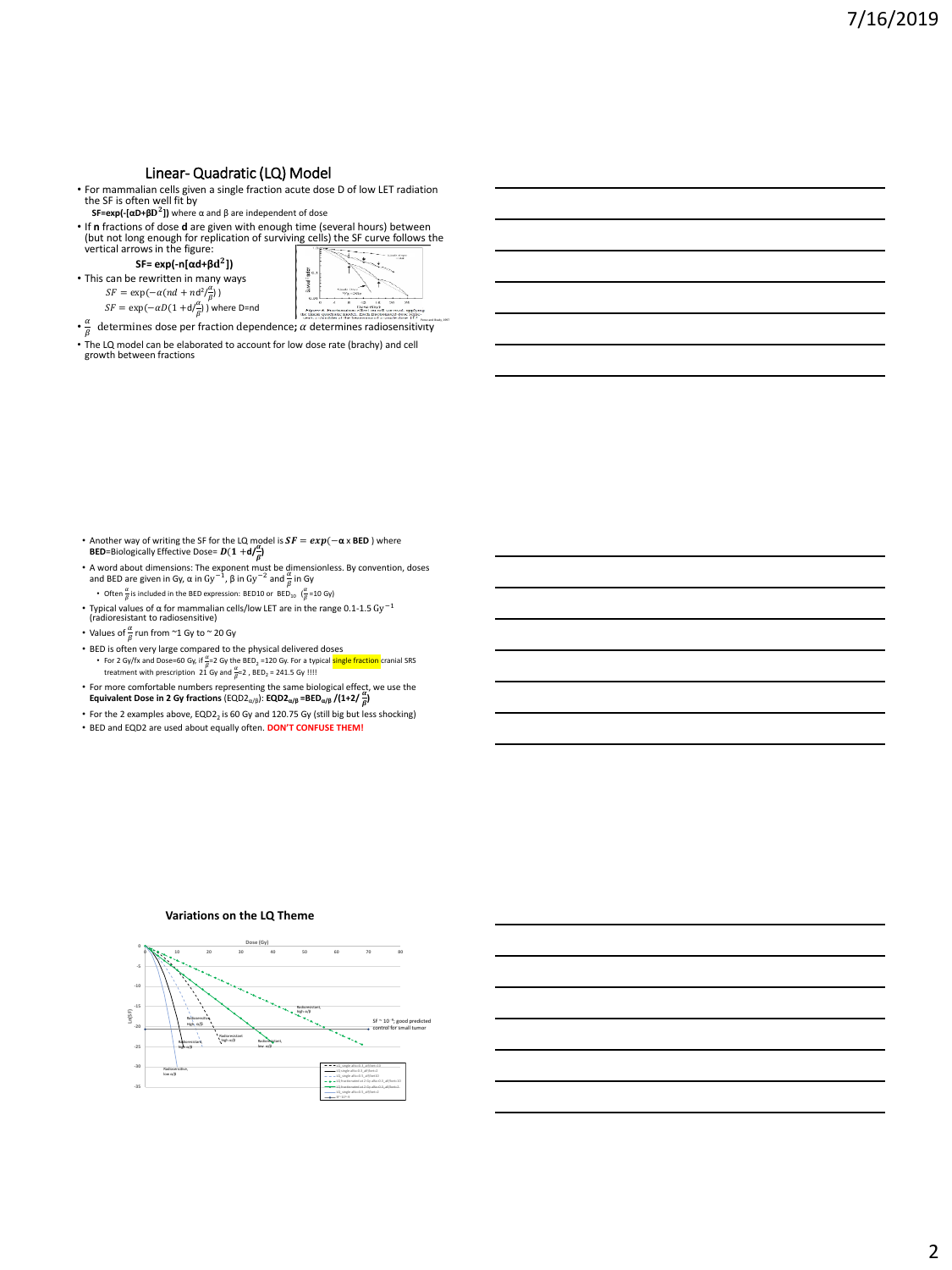### Linear- Quadratic (LQ) Model

• For mammalian cells given a single fraction acute dose D of low LET radiation the SF is often well fit by

**SF=exp(-[αD+β ])** where α and β are independent of dose

• If **n** fractions of dose **d** are given with enough time (several hours) between<br>(but not long enough for replication of surviving cells) the SF curve follows the<br>vertical arrows in the figure:

**SF= exp(-n[αd+β ])**

- This can be rewritten in many ways  $SF = \exp(-\alpha (nd + nd^2/\frac{\alpha}{\rho}))$ 
	- $SF = \exp(-\alpha D(1 + d/\frac{\alpha}{\beta}))$  where D=nd

÷. ÷. State Board ì  $\alpha$ a<br>M Figure 6. Prechonation off<br>the linear quadratic model. E

- $\cdot \frac{\alpha}{\beta}$  determines dose per fraction dependence;  $\alpha$  determines radiosensitivity
- $\cdot$  The LQ model can be elaborated to account for low dose rate (brachy) and cell growth between fractions

- Another way of writing the SF for the LQ model is  $SF = exp(-\alpha \times BED)$  where **BED**=Biologically Effective Dose=  $D(1 + d/\frac{a}{a})$
- A word about dimensions: The exponent must be dimensionless. By convention, doses<br>
and BED are given in Gy, α in Gy<sup>-1</sup>, β in Gy<sup>-2</sup> and  $\frac{a}{\beta}$  in Gy<br>
 Often  $\frac{a}{\beta}$  is included in the BED expression: BED10 or
- Typical values of  $\alpha$  for mammalian cells/low LET are in the range 0.1-1.5  $\text{Gy}^{-1}$  (radioresistant to radiosensitive)
- 
- Values of  $\frac{\alpha}{\beta}$  run from ~1 Gy to ~ 20 Gy

**-35 -30**

Radiosensitive, low α/β

- BED is often very large compared to the physical delivered doses • For 2 Gy/fx and Dose=60 Gy, if  $\frac{\alpha}{\beta}=2$  Gy the BED<sub>2</sub> = 120 Gy. For a typical <mark>single fraction</mark> cranial SRS<br>treatment with prescription 21 Gy and  $\frac{\alpha}{\beta}=2$  , BED<sub>2</sub> = 241.5 Gy !!!!
- For more comfortable numbers representing the same biological effect, we use the Equivalent Dose in 2 Gy fractions (EQD2<sub>a/B</sub>): EQD2<sub>a/B</sub> =BED<sub>a/B</sub> /(1+2/ $\frac{c}{\beta}$ )
- For the 2 examples above,  $EQD2<sub>2</sub>$  is 60 Gy and 120.75 Gy (still big but less shocking)
- BED and EQD2 are used about equally often. **DON'T CONFUSE THEM!**

#### **-25 -20 -15 -10 -5 0 0 10 20 30 40 50 60 70 80 Ln(SF) Dose (Gy)** Radiosensitive, High α/β Radioresistant, low α/β Radioresistant, high α/β Radioresistant Radioresistant, high α/β high α/β



**Variations on the LQ Theme**

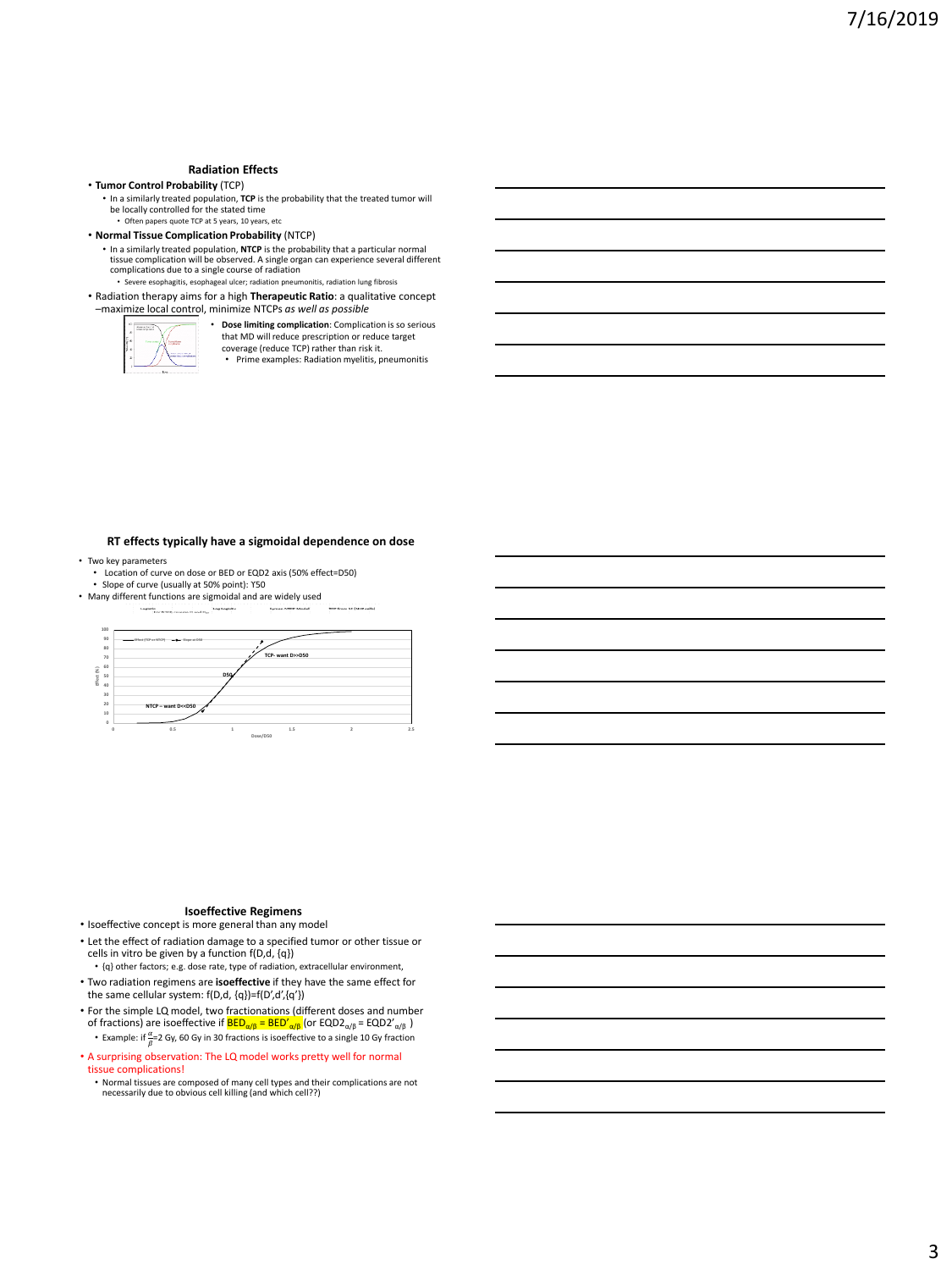#### **Radiation Effects**

#### • **Tumor Control Probability** (TCP)

• In a similarly treated population, **TCP** is the probability that the treated tumor will be locally controlled for the stated time • Often papers quote TCP at 5 years, 10 years, etc

• **Normal Tissue Complication Probability** (NTCP)

• In a similarly treated population, **NTCP** is the probability that a particular normal tissue complication will be observed. A single organ can experience several different complications due to a single course of radiation • Severe esophagitis, esophageal ulcer; radiation pneumonitis, radiation lung fibrosis

• Radiation therapy aims for a high **Therapeutic Ratio**: a qualitative concept –maximize local control, minimize NTCPs *as well as possible*



• **Dose limiting complication**: Complication is so serious that MD will reduce prescription or reduce target coverage (reduce TCP) rather than risk it.

• Prime examples: Radiation myelitis, pneumonitis

#### **RT effects typically have a sigmoidal dependence on dose**

- Two key parameters Location of curve on dose or BED or EQD2 axis (50% effect=D50)
- Slope of curve (usually at 50% point): ϒ50 • Many different functions are sigmoidal and are widely used



#### **Isoeffective Regimens**

• Isoeffective concept is more general than any model

• Let the effect of radiation damage to a specified tumor or other tissue or cells in vitro be given by a function  $f(D,d, \{q\})$ • {q} other factors; e.g. dose rate, type of radiation, extracellular environment,

- Two radiation regimens are **isoeffective** if they have the same effect for the same cellular system: f(D,d, {q})=f(D',d',{q'})
- For the simple LQ model, two fractionations (different doses and number of fractions) are isoeffective if <mark>BED<sub>α/β</sub> = BED′<sub>α/β</sub> (</mark>or EQD2<sub>α/β</sub> = EQD2′<sub>α/β</sub> )
	- Example: if  $\frac{\alpha}{\beta}$  = 2 Gy, 60 Gy in 30 fractions is isoeffective to a single 10 Gy fraction

• A surprising observation: The LQ model works pretty well for normal tissue complications!

• Normal tissues are composed of many cell types and their complications are not necessarily due to obvious cell killing (and which cell??)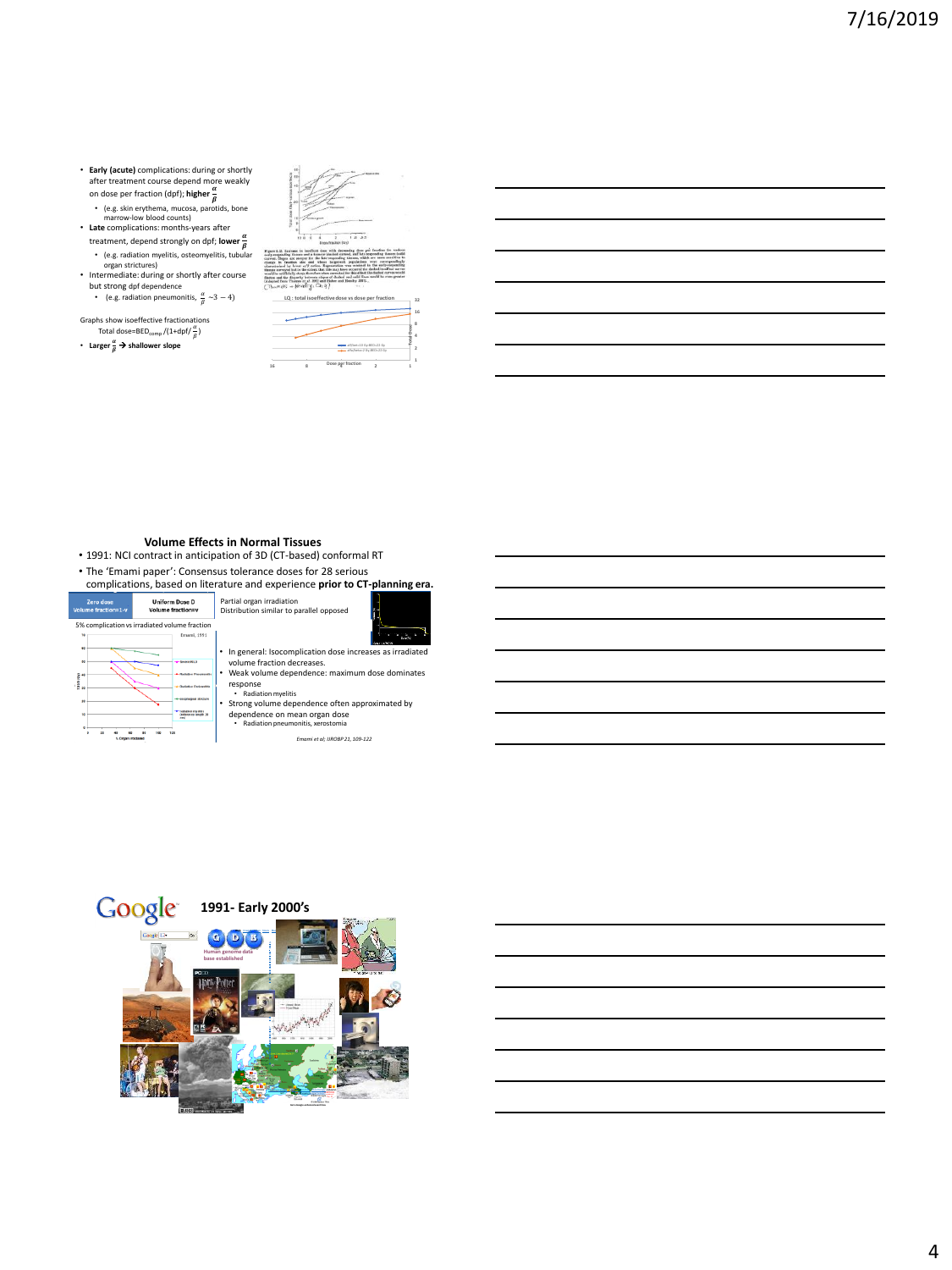- **Early (acute)** complications: during or shortly<br>after treatment course depend more weakly<br>on dose per fraction (dpf); **higher**  $\frac{\alpha}{\beta}$ <br>• (e.g. skin erythema, mucosa, parotids, bone<br>marrow-low blood counts)
- 
- **Late** complications: months-years after treatment, depend strongly on dpf; **lower**
- (e.g. radiation myelitis, osteomyelitis, tubular organ strictures) Intermediate: during or shortly after course
- but strong dpf dependence • (e.g. radiation pneumonitis,  $\frac{\alpha}{\beta} \sim 3 - 4$ )

Graphs show isoeffective fractionations<br>Total dose=BED<sub>comp</sub> /(1+dpf/ $\frac{\alpha}{\beta}$ )

• Larger  $\frac{a}{\beta}$  > shallower slope

| m<br><b>eri</b>                                                                                                                                                                                                                                                                                                                                                                                                                                                                                                                                                                                                                                                                                                                                                                                                                     |
|-------------------------------------------------------------------------------------------------------------------------------------------------------------------------------------------------------------------------------------------------------------------------------------------------------------------------------------------------------------------------------------------------------------------------------------------------------------------------------------------------------------------------------------------------------------------------------------------------------------------------------------------------------------------------------------------------------------------------------------------------------------------------------------------------------------------------------------|
|                                                                                                                                                                                                                                                                                                                                                                                                                                                                                                                                                                                                                                                                                                                                                                                                                                     |
|                                                                                                                                                                                                                                                                                                                                                                                                                                                                                                                                                                                                                                                                                                                                                                                                                                     |
| - 2<br>$\alpha$<br>10L                                                                                                                                                                                                                                                                                                                                                                                                                                                                                                                                                                                                                                                                                                                                                                                                              |
| 1.8.65<br><b>DAM/RIVING SOU</b>                                                                                                                                                                                                                                                                                                                                                                                                                                                                                                                                                                                                                                                                                                                                                                                                     |
| figure 3.12. Increase in location door with decreasing does put fraction for various<br>advocation those end a tenery planed curved, and late respending timers tealed<br>arrest. Slopes are steeper for the late-requesting tisenes, which are more oexaitive to<br>hangs in frontien also and obces target-cell populations were correspondingly<br>haracterized by lawse o/f ration. Representive was minized in the early-responding<br>innue unrespective to the same that this may have occurred the dashed locallect curves<br>could be artificially steep; therefore when corrected for this effect the dealed curves would<br>letten and the disparity between slopes of dealers and sails! Enes would be even greater<br>Adopted from Thomas et al. 1982 end Floher and Hendry 1987).<br>Thum es = Hendry, Ch 3)<br>ta Ti |
| LO: total isoeffective dose vs dose per fraction                                                                                                                                                                                                                                                                                                                                                                                                                                                                                                                                                                                                                                                                                                                                                                                    |
|                                                                                                                                                                                                                                                                                                                                                                                                                                                                                                                                                                                                                                                                                                                                                                                                                                     |

|  | -B-althet:10 Gy360:22 Gr  |  |
|--|---------------------------|--|
|  | -0-alfa/betar2 Gy;@Dr22Gy |  |
|  | Dose per fraction         |  |

#### **Volume Effects in Normal Tissues**

- 1991: NCI contract in anticipation of 3D (CT-based) conformal RT
- The 'Emami paper': Consensus tolerance doses for 28 serious



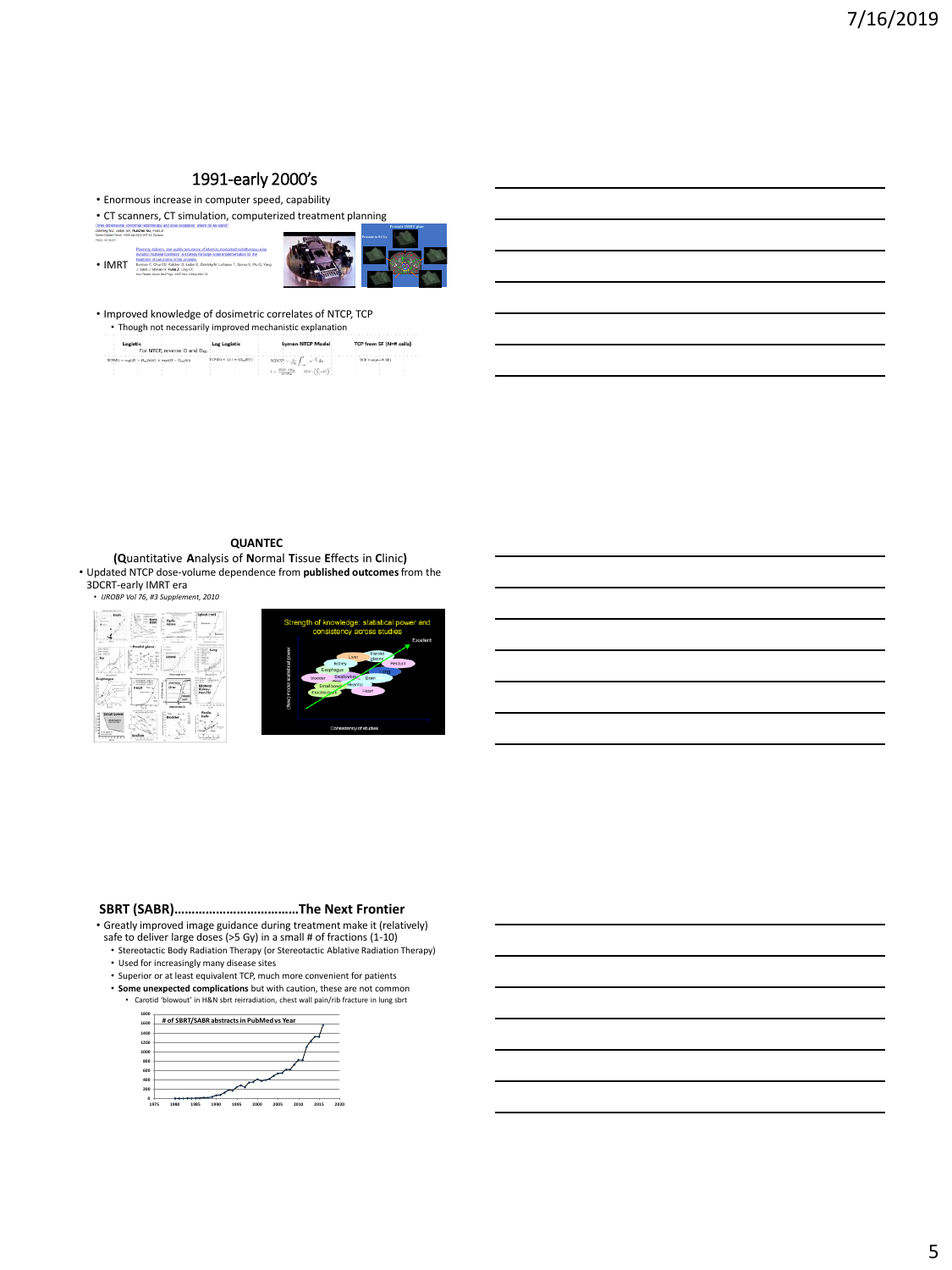# 1991-early 2000's

• Enormous increase in computer speed, capability

• CT scanners, CT simulation, computerized treatment planning

|                                                                                                                | Three-dimensional contormal radiatherapy and down excalation: where do we stand?                                                                                                                                                                                                                                                                                                                              |
|----------------------------------------------------------------------------------------------------------------|---------------------------------------------------------------------------------------------------------------------------------------------------------------------------------------------------------------------------------------------------------------------------------------------------------------------------------------------------------------------------------------------------------------|
| Zeichky MJ, Leibel SA, Kutcher GJ, Fuks Z.<br>Semin Radat Orest, 1995 Apr 521 107-14, Review.<br>Death GloGAin |                                                                                                                                                                                                                                                                                                                                                                                                               |
| • IMRT                                                                                                         | Plenning, delivery, and quality assurance of intensity modulated radiofrenzy using<br>dynamic rradition' collinator, a strategy for large-scale implementation for the<br>treatment of corrinorna of the prostate.<br>Burman C. Chui CS. Kutcher G. Leibel S. Zelefsky M. LoSasso T. Spirou S. Wu G. Yang<br>J. Stein J. Mohan R. Fuks Z. Ling CC.<br>Int J Radiat Cocordinal Phys. 1997 Nov 1 Ship (663-73). |



• Improved knowledge of dosimetric correlates of NTCP, TCP • Though not necessarily improved mechanistic explanation

|                                                                                  | For NTCP, reverse D and Don |                             | <b>In NTCP Model</b> | from SF (Not cells) |  |
|----------------------------------------------------------------------------------|-----------------------------|-----------------------------|----------------------|---------------------|--|
| $TCPD = \text{exp}(D - D_{\text{m}})h\phi(1) + \text{exp}(D - D_{\text{m}})h(1)$ |                             | $TCP(D) =  A  + (D,  D ^2)$ | r.<br>f de           | $TCP = send = NSD$  |  |
|                                                                                  |                             |                             | $\mathbf{r} =$       |                     |  |

### **QUANTEC**

**(Q**uantitative **A**nalysis of **N**ormal **T**issue **E**ffects in **C**linic**)** • Updated NTCP dose-volume dependence from **published outcomes** from the 3DCRT-early IMRT era





#### **SBRT (SABR)………………………………The Next Frontier**

• Greatly improved image guidance during treatment make it (relatively) safe to deliver large doses (>5 Gy) in a small # of fractions (1-10)

• Stereotactic Body Radiation Therapy (or Stereotactic Ablative Radiation Therapy)

- 
- Used for increasingly many disease sites Superior or at least equivalent TCP, much more convenient for patients
- **Some unexpected complications** but with caution, these are not common Carotid 'blowout' in H&N sbrt reirradiation, chest wall pain/rib fracture in lung sbrt